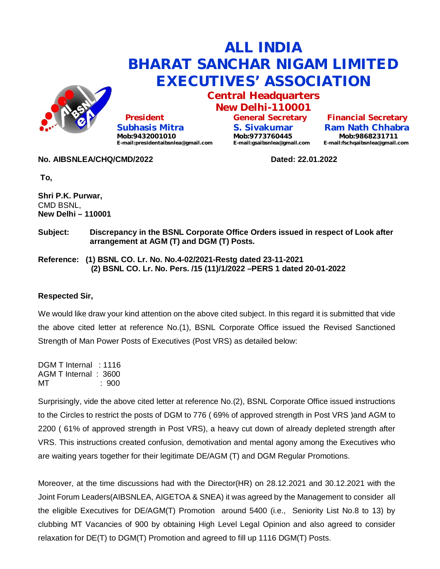

## **ALL INDIA BHARAT SANCHAR NIGAM LIMITED EXECUTIVES' ASSOCIATION**

**Central Headquarters New Delhi-110001**

 **President Subhasis Mitra Mob:9432001010 [E-mail:presidentaibsnlea@gmail.com](mailto:E-mail:presidentaibsnlea@gmail.com)**

**No. AIBSNLEA/CHQ/CMD/2022 Dated: 22.01.2022**

**General Secretary S. Sivakumar Mob:9773760445 [E-mail:gsaibsnlea@gmail.com](mailto:E-mail:gsaibsnlea@gmail.com)**

**Financial Secretary Ram Nath Chhabra Mob:9868231711 [E-mail:fschqaibsnlea@gmail.com](mailto:E-mail:fschqaibsnlea@gmail.com)**

**To,**

**Shri P.K. Purwar,** CMD BSNL, **New Delhi – 110001**

**Subject: Discrepancy in the BSNL Corporate Office Orders issued in respect of Look after arrangement at AGM (T) and DGM (T) Posts.**

**Reference: (1) BSNL CO. Lr. No. No.4-02/2021-Restg dated 23-11-2021 (2) BSNL CO. Lr. No. Pers. /15 (11)/1/2022 –PERS 1 dated 20-01-2022**

## **Respected Sir,**

We would like draw your kind attention on the above cited subject. In this regard it is submitted that vide the above cited letter at reference No.(1), BSNL Corporate Office issued the Revised Sanctioned Strength of Man Power Posts of Executives (Post VRS) as detailed below:

DGM T Internal : 1116 AGM T Internal : 3600 MT : 900

Surprisingly, vide the above cited letter at reference No.(2), BSNL Corporate Office issued instructions to the Circles to restrict the posts of DGM to 776 ( 69% of approved strength in Post VRS )and AGM to 2200 ( 61% of approved strength in Post VRS), a heavy cut down of already depleted strength after VRS. This instructions created confusion, demotivation and mental agony among the Executives who are waiting years together for their legitimate DE/AGM (T) and DGM Regular Promotions.

Moreover, at the time discussions had with the Director(HR) on 28.12.2021 and 30.12.2021 with the Joint Forum Leaders(AIBSNLEA, AIGETOA & SNEA) it was agreed by the Management to consider all the eligible Executives for DE/AGM(T) Promotion around 5400 (i.e., Seniority List No.8 to 13) by clubbing MT Vacancies of 900 by obtaining High Level Legal Opinion and also agreed to consider relaxation for DE(T) to DGM(T) Promotion and agreed to fill up 1116 DGM(T) Posts.